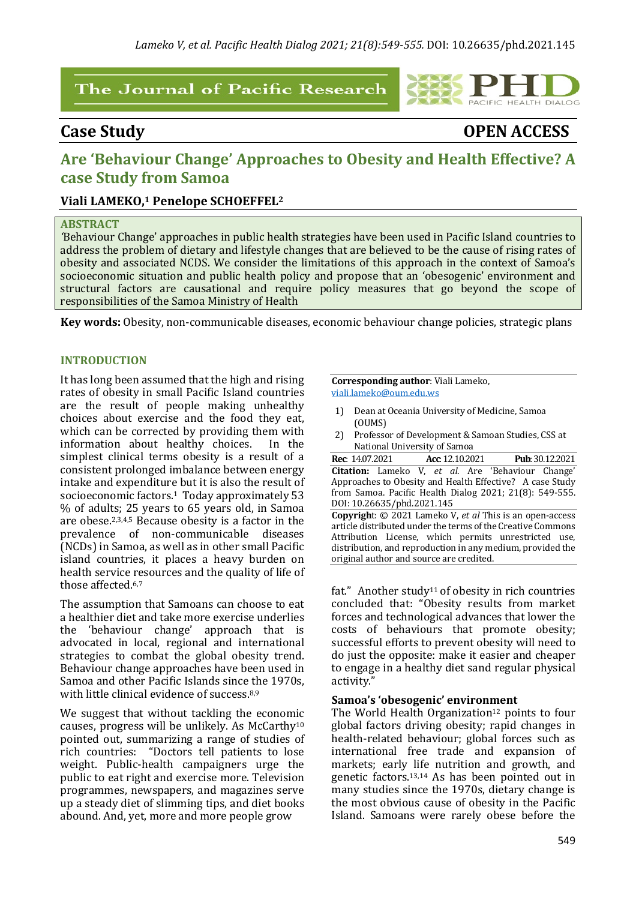## The Journal of Pacific Research

**Case Study OPEN ACCESS**

PACIFIC HEALTH DIALOG

# Are 'Behaviour Change' Approaches to Obesity and Health Effective? A **case Study from Samoa**

## **Viali LAMEKO,<sup>1</sup> Penelope SCHOEFFEL<sup>2</sup>**

#### **ABSTRACT**

Behaviour Change' approaches in public health strategies have been used in Pacific Island countries to address the problem of dietary and lifestyle changes that are believed to be the cause of rising rates of obesity and associated NCDS. We consider the limitations of this approach in the context of Samoa's socioeconomic situation and public health policy and propose that an 'obesogenic' environment and structural factors are causational and require policy measures that go beyond the scope of responsibilities of the Samoa Ministry of Health

**Key words:** Obesity, non-communicable diseases, economic behaviour change policies, strategic plans

#### **INTRODUCTION**

It has long been assumed that the high and rising rates of obesity in small Pacific Island countries are the result of people making unhealthy choices about exercise and the food they eat, which can be corrected by providing them with information about healthy choices. In the simplest clinical terms obesity is a result of a consistent prolonged imbalance between energy intake and expenditure but it is also the result of socioeconomic factors.<sup>1</sup> Today approximately 53 % of adults; 25 years to 65 years old, in Samoa are obese.<sup>2,3,4,5</sup> Because obesity is a factor in the prevalence of non-communicable diseases (NCDs) in Samoa, as well as in other small Pacific island countries, it places a heavy burden on health service resources and the quality of life of those affected.<sup>6,7</sup>

The assumption that Samoans can choose to eat a healthier diet and take more exercise underlies the 'behaviour change' approach that is advocated in local, regional and international strategies to combat the global obesity trend. Behaviour change approaches have been used in Samoa and other Pacific Islands since the 1970s. with little clinical evidence of success.<sup>8,9</sup>

We suggest that without tackling the economic causes, progress will be unlikely. As McCarthy<sup>10</sup> pointed out, summarizing a range of studies of rich countries: "Doctors tell patients to lose weight. Public-health campaigners urge the public to eat right and exercise more. Television programmes, newspapers, and magazines serve up a steady diet of slimming tips, and diet books abound. And, yet, more and more people grow

**Corresponding author:** Viali Lameko, viali.lameko@oum.edu.ws

original author and source are credited.

- 1) Dean at Oceania University of Medicine, Samoa (OUMS)
- 2) Professor of Development & Samoan Studies, CSS at National University of Samoa

|                                                             |  | <b>Rec:</b> 14.07.2021 <b>Acc:</b> 12.10.2021 <b>Pub:</b> 30.12.2021 |
|-------------------------------------------------------------|--|----------------------------------------------------------------------|
|                                                             |  | Citation: Lameko V, et al. Are 'Behaviour Change'                    |
| Approaches to Obesity and Health Effective? A case Study    |  |                                                                      |
| from Samoa. Pacific Health Dialog 2021; 21(8): 549-555.     |  |                                                                      |
| DOI: 10.26635/phd.2021.145                                  |  |                                                                      |
| Copyright: © 2021 Lameko V, et al This is an open-access    |  |                                                                      |
| article distributed under the terms of the Creative Commons |  |                                                                      |
|                                                             |  | Attribution License, which permits unrestricted use,                 |
| distribution, and reproduction in any medium, provided the  |  |                                                                      |

fat." Another study<sup>11</sup> of obesity in rich countries concluded that: "Obesity results from market forces and technological advances that lower the costs of behaviours that promote obesity; successful efforts to prevent obesity will need to do just the opposite: make it easier and cheaper to engage in a healthy diet sand regular physical activity." 

#### Samoa's 'obesogenic' environment

The World Health Organization<sup>12</sup> points to four global factors driving obesity; rapid changes in health-related behaviour; global forces such as international free trade and expansion of markets; early life nutrition and growth, and genetic factors.<sup>13,14</sup> As has been pointed out in many studies since the 1970s, dietary change is the most obvious cause of obesity in the Pacific Island. Samoans were rarely obese before the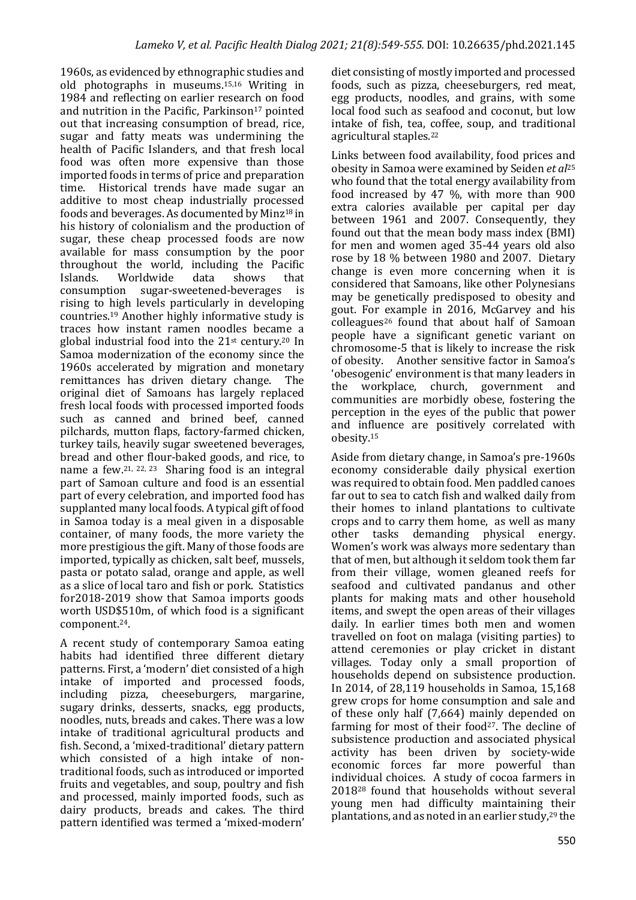1960s, as evidenced by ethnographic studies and old photographs in museums.<sup>15,16</sup> Writing in 1984 and reflecting on earlier research on food and nutrition in the Pacific, Parkinson<sup>17</sup> pointed out that increasing consumption of bread, rice, sugar and fatty meats was undermining the health of Pacific Islanders, and that fresh local food was often more expensive than those imported foods in terms of price and preparation time. Historical trends have made sugar an additive to most cheap industrially processed foods and beverages. As documented by Minz<sup>18</sup> in his history of colonialism and the production of sugar, these cheap processed foods are now available for mass consumption by the poor throughout the world, including the Pacific Islands. Worldwide data shows that consumption sugar-sweetened-beverages is rising to high levels particularly in developing countries.<sup>19</sup> Another highly informative study is traces how instant ramen noodles became a global industrial food into the  $21<sup>st</sup>$  century.<sup>20</sup> In Samoa modernization of the economy since the 1960s accelerated by migration and monetary remittances has driven dietary change. The original diet of Samoans has largely replaced fresh local foods with processed imported foods such as canned and brined beef, canned pilchards, mutton flaps, factory-farmed chicken, turkey tails, heavily sugar sweetened beverages, bread and other flour-baked goods, and rice, to name a few.<sup>21, 22, 23</sup> Sharing food is an integral part of Samoan culture and food is an essential part of every celebration, and imported food has supplanted many local foods. A typical gift of food in Samoa today is a meal given in a disposable container, of many foods, the more variety the more prestigious the gift. Many of those foods are imported, typically as chicken, salt beef, mussels, pasta or potato salad, orange and apple, as well as a slice of local taro and fish or pork. Statistics for2018-2019 show that Samoa imports goods worth USD\$510m, of which food is a significant component. 24.

A recent study of contemporary Samoa eating habits had identified three different dietary patterns. First, a 'modern' diet consisted of a high intake of imported and processed foods, including pizza, cheeseburgers, margarine, sugary drinks, desserts, snacks, egg products, noodles, nuts, breads and cakes. There was a low intake of traditional agricultural products and fish. Second, a 'mixed-traditional' dietary pattern which consisted of a high intake of nontraditional foods, such as introduced or imported fruits and vegetables, and soup, poultry and fish and processed, mainly imported foods, such as dairy products, breads and cakes. The third pattern identified was termed a 'mixed-modern'

diet consisting of mostly imported and processed foods, such as pizza, cheeseburgers, red meat, egg products, noodles, and grains, with some local food such as seafood and coconut, but low intake of fish, tea, coffee, soup, and traditional agricultural staples.<sup>22</sup>

Links between food availability, food prices and obesity in Samoa were examined by Seiden *et al*<sup>25</sup> who found that the total energy availability from food increased by 47  $%$ , with more than  $900$ extra calories available per capital per day between 1961 and 2007. Consequently, they found out that the mean body mass index (BMI) for men and women aged 35-44 years old also rose by 18 % between 1980 and 2007. Dietary change is even more concerning when it is considered that Samoans, like other Polynesians may be genetically predisposed to obesity and gout. For example in 2016, McGarvey and his colleagues<sup>26</sup> found that about half of Samoan people have a significant genetic variant on chromosome-5 that is likely to increase the risk of obesity. Another sensitive factor in Samoa's 'obesogenic' environment is that many leaders in the workplace, church, government and communities are morbidly obese, fostering the perception in the eyes of the public that power and influence are positively correlated with obesity. 15 

Aside from dietary change, in Samoa's pre-1960s economy considerable daily physical exertion was required to obtain food. Men paddled canoes far out to sea to catch fish and walked daily from their homes to inland plantations to cultivate crops and to carry them home, as well as many other tasks demanding physical energy. Women's work was always more sedentary than that of men, but although it seldom took them far from their village, women gleaned reefs for seafood and cultivated pandanus and other plants for making mats and other household items, and swept the open areas of their villages daily. In earlier times both men and women travelled on foot on malaga (visiting parties) to attend ceremonies or play cricket in distant villages. Today only a small proportion of households depend on subsistence production. In 2014, of 28,119 households in Samoa, 15,168 grew crops for home consumption and sale and of these only half (7,664) mainly depended on farming for most of their food<sup>27</sup>. The decline of subsistence production and associated physical activity has been driven by society-wide economic forces far more powerful than individual choices. A study of  $\overline{\text{c}}$  cocoa farmers in  $2018^{28}$  found that households without several young men had difficulty maintaining their plantations, and as noted in an earlier study,<sup>29</sup> the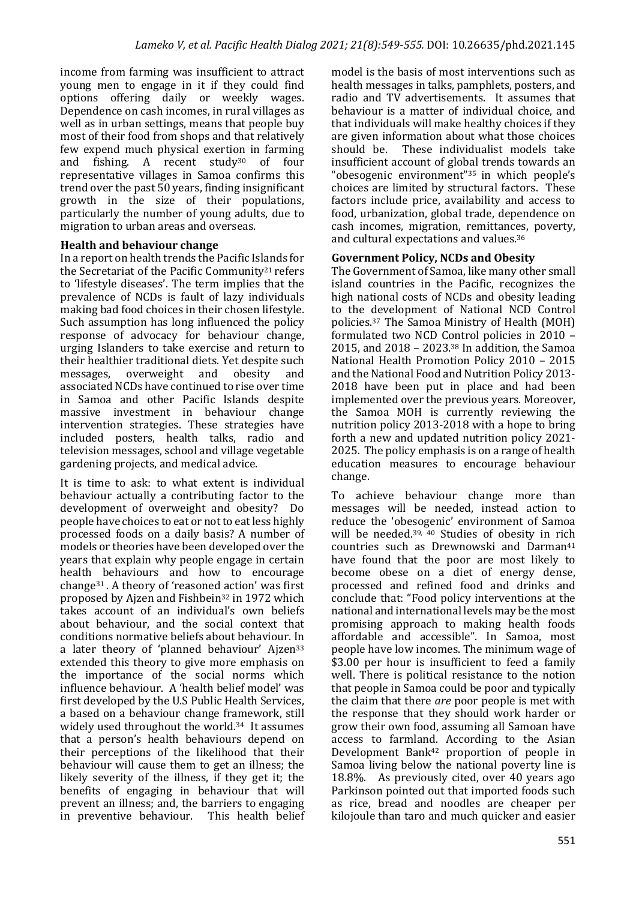income from farming was insufficient to attract young men to engage in it if they could find options offering daily or weekly wages. Dependence on cash incomes, in rural villages as well as in urban settings, means that people buy most of their food from shops and that relatively few expend much physical exertion in farming and fishing. A recent study<sup>30</sup> of four representative villages in Samoa confirms this trend over the past  $50$  years, finding insignificant growth in the size of their populations, particularly the number of young adults, due to migration to urban areas and overseas.

### **Health and behaviour change**

In a report on health trends the Pacific Islands for the Secretariat of the Pacific Community<sup>21</sup> refers to 'lifestyle diseases'. The term implies that the prevalence of NCDs is fault of lazy individuals making bad food choices in their chosen lifestyle. Such assumption has long influenced the policy response of advocacy for behaviour change, urging Islanders to take exercise and return to their healthier traditional diets. Yet despite such messages, overweight and obesity and associated NCDs have continued to rise over time in Samoa and other Pacific Islands despite massive investment in behaviour change intervention strategies. These strategies have included posters, health talks, radio and television messages, school and village vegetable gardening projects, and medical advice.

It is time to ask: to what extent is individual behaviour actually a contributing factor to the development of overweight and obesity? Do people have choices to eat or not to eat less highly processed foods on a daily basis? A number of models or theories have been developed over the years that explain why people engage in certain health behaviours and how to encourage change<sup>31</sup>. A theory of 'reasoned action' was first proposed by Ajzen and Fishbein<sup>32</sup> in 1972 which takes account of an individual's own beliefs about behaviour, and the social context that conditions normative beliefs about behaviour. In a later theory of 'planned behaviour'  $A$ jzen<sup>33</sup> extended this theory to give more emphasis on the importance of the social norms which influence behaviour. A 'health belief model' was first developed by the U.S Public Health Services, a based on a behaviour change framework, still widely used throughout the world.<sup>34</sup> It assumes that a person's health behaviours depend on their perceptions of the likelihood that their behaviour will cause them to get an illness; the likely severity of the illness, if they get it; the benefits of engaging in behaviour that will prevent an illness; and, the barriers to engaging in preventive behaviour. This health belief model is the basis of most interventions such as health messages in talks, pamphlets, posters, and radio and TV advertisements. It assumes that behaviour is a matter of individual choice, and that individuals will make healthy choices if they are given information about what those choices should be. These individualist models take insufficient account of global trends towards an "obesogenic environment"<sup>35</sup> in which people's choices are limited by structural factors. These factors include price, availability and access to food, urbanization, global trade, dependence on cash incomes, migration, remittances, poverty, and cultural expectations and values.<sup>36</sup>

### Government Policy, NCDs and Obesity

The Government of Samoa, like many other small island countries in the Pacific, recognizes the high national costs of NCDs and obesity leading to the development of National NCD Control policies.<sup>37</sup> The Samoa Ministry of Health (MOH) formulated two NCD Control policies in  $2010 -$ 2015, and  $2018 - 2023$ .<sup>38</sup> In addition, the Samoa National Health Promotion Policy 2010 - 2015 and the National Food and Nutrition Policy 2013-2018 have been put in place and had been implemented over the previous years. Moreover, the Samoa MOH is currently reviewing the nutrition policy  $2013-2018$  with a hope to bring forth a new and updated nutrition policy 2021-2025. The policy emphasis is on a range of health education measures to encourage behaviour change. 

To achieve behaviour change more than messages will be needed, instead action to reduce the 'obesogenic' environment of Samoa will be needed.<sup>39, 40</sup> Studies of obesity in rich countries such as Drewnowski and Darman<sup>41</sup> have found that the poor are most likely to become obese on a diet of energy dense, processed and refined food and drinks and conclude that: "Food policy interventions at the national and international levels may be the most promising approach to making health foods affordable and accessible". In Samoa, most people have low incomes. The minimum wage of  $\overline{$}3.00$  per hour is insufficient to feed a family well. There is political resistance to the notion that people in Samoa could be poor and typically the claim that there *are* poor people is met with the response that they should work harder or grow their own food, assuming all Samoan have access to farmland. According to the Asian Development Bank<sup>42</sup> proportion of people in Samoa living below the national poverty line is 18.8%. As previously cited, over  $40$  years ago Parkinson pointed out that imported foods such as rice, bread and noodles are cheaper per kilojoule than taro and much quicker and easier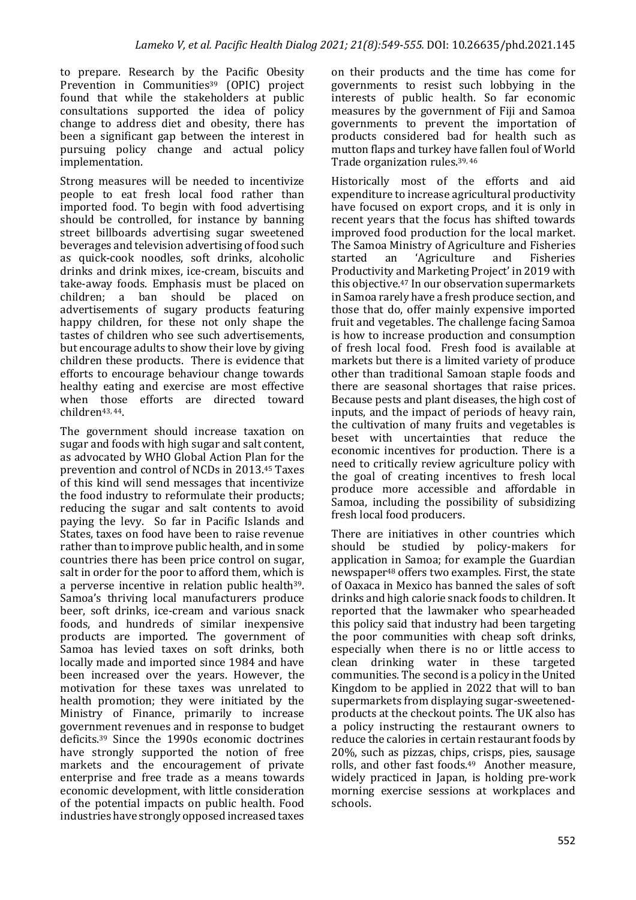to prepare. Research by the Pacific Obesity Prevention in Communities<sup>39</sup> (OPIC) project found that while the stakeholders at public consultations supported the idea of policy change to address diet and obesity, there has been a significant gap between the interest in pursuing policy change and actual policy implementation. 

Strong measures will be needed to incentivize people to eat fresh local food rather than imported food. To begin with food advertising should be controlled, for instance by banning street billboards advertising sugar sweetened beverages and television advertising of food such as quick-cook noodles, soft drinks, alcoholic drinks and drink mixes, ice-cream, biscuits and take-away foods. Emphasis must be placed on children; a ban should be placed on advertisements of sugary products featuring happy children, for these not only shape the tastes of children who see such advertisements, but encourage adults to show their love by giving children these products. There is evidence that efforts to encourage behaviour change towards healthy eating and exercise are most effective when those efforts are directed toward children<sup>43, 44</sup>.

The government should increase taxation on sugar and foods with high sugar and salt content, as advocated by WHO Global Action Plan for the prevention and control of NCDs in 2013.<sup>45</sup> Taxes of this kind will send messages that incentivize the food industry to reformulate their products; reducing the sugar and salt contents to avoid paying the levy. So far in Pacific Islands and States, taxes on food have been to raise revenue rather than to improve public health, and in some countries there has been price control on sugar, salt in order for the poor to afford them, which is a perverse incentive in relation public health<sup>39</sup>. Samoa's thriving local manufacturers produce beer, soft drinks, ice-cream and various snack foods, and hundreds of similar inexpensive products are imported. The government of Samoa has levied taxes on soft drinks, both locally made and imported since 1984 and have been increased over the vears. However, the motivation for these taxes was unrelated to health promotion; they were initiated by the Ministry of Finance, primarily to increase government revenues and in response to budget deficits.<sup>39</sup> Since the 1990s economic doctrines have strongly supported the notion of free markets and the encouragement of private enterprise and free trade as a means towards economic development, with little consideration of the potential impacts on public health. Food industries have strongly opposed increased taxes

on their products and the time has come for governments to resist such lobbying in the interests of public health. So far economic measures by the government of Fiji and Samoa governments to prevent the importation of products considered bad for health such as mutton flaps and turkey have fallen foul of World Trade organization rules.<sup>39, 46</sup>

Historically most of the efforts and aid expenditure to increase agricultural productivity have focused on export crops, and it is only in recent years that the focus has shifted towards improved food production for the local market. The Samoa Ministry of Agriculture and Fisheries started an 'Agriculture and Fisheries Productivity and Marketing Project' in 2019 with this objective.<sup>47</sup> In our observation supermarkets in Samoa rarely have a fresh produce section, and those that do, offer mainly expensive imported fruit and vegetables. The challenge facing Samoa is how to increase production and consumption of fresh local food. Fresh food is available at markets but there is a limited variety of produce other than traditional Samoan staple foods and there are seasonal shortages that raise prices. Because pests and plant diseases, the high cost of inputs, and the impact of periods of heavy rain, the cultivation of many fruits and vegetables is beset with uncertainties that reduce the economic incentives for production. There is a need to critically review agriculture policy with the goal of creating incentives to fresh local produce more accessible and affordable in Samoa, including the possibility of subsidizing fresh local food producers.

There are initiatives in other countries which should be studied by policy-makers for application in Samoa; for example the Guardian newspaper<sup>48</sup> offers two examples. First, the state of Oaxaca in Mexico has banned the sales of soft drinks and high calorie snack foods to children. It reported that the lawmaker who spearheaded this policy said that industry had been targeting the poor communities with cheap soft drinks, especially when there is no or little access to clean drinking water in these targeted communities. The second is a policy in the United Kingdom to be applied in  $2022$  that will to ban supermarkets from displaying sugar-sweetenedproducts at the checkout points. The UK also has a policy instructing the restaurant owners to reduce the calories in certain restaurant foods by 20%, such as pizzas, chips, crisps, pies, sausage rolls, and other fast foods.<sup>49</sup> Another measure, widely practiced in Japan, is holding pre-work morning exercise sessions at workplaces and schools.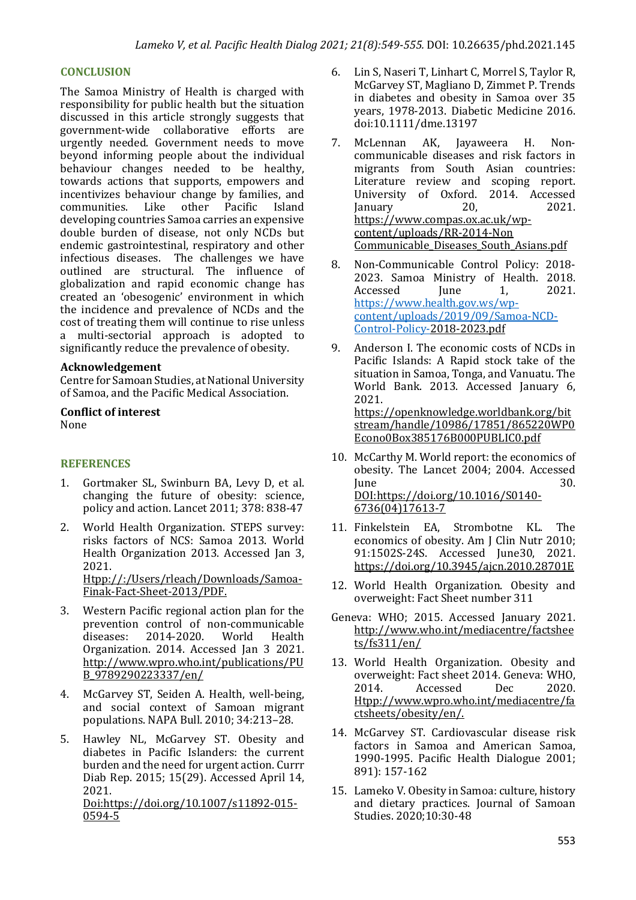#### **CONCLUSION**

The Samoa Ministry of Health is charged with responsibility for public health but the situation discussed in this article strongly suggests that government-wide collaborative efforts are urgently needed. Government needs to move beyond informing people about the individual behaviour changes needed to be healthy, towards actions that supports, empowers and incentivizes behaviour change by families, and communities. Like other Pacific Island developing countries Samoa carries an expensive double burden of disease, not only NCDs but endemic gastrointestinal, respiratory and other infectious diseases. The challenges we have outlined are structural. The influence of globalization and rapid economic change has created an 'obesogenic' environment in which the incidence and prevalence of NCDs and the cost of treating them will continue to rise unless a multi-sectorial approach is adopted to significantly reduce the prevalence of obesity.

#### **Acknowledgement**

Centre for Samoan Studies, at National University of Samoa, and the Pacific Medical Association.

#### **Conflict of interest** None

### **REFERENCES**

- 1. Gortmaker SL, Swinburn BA, Levy D, et al. changing the future of obesity: science, policy and action. Lancet 2011; 378: 838-47
- 2. World Health Organization. STEPS survey: risks factors of NCS: Samoa 2013. World Health Organization 2013. Accessed Jan 3, 2021. Htpp://:/Users/rleach/Downloads/Samoa-

Finak-Fact-Sheet-2013/PDF.

- 3. Western Pacific regional action plan for the prevention control of non-communicable<br>diseases: 2014-2020. World Health diseases: 2014-2020. World Health Organization. 2014. Accessed Ian 3 2021. http://www.wpro.who.int/publications/PU B\_9789290223337/en/
- 4. McGarvey ST, Seiden A. Health, well-being, and social context of Samoan migrant populations. NAPA Bull.  $2010: 34:213-28$ .
- 5. Hawley NL, McGarvey ST. Obesity and diabetes in Pacific Islanders: the current burden and the need for urgent action. Currr Diab Rep. 2015; 15(29). Accessed April 14, 2021. Doi:https://doi.org/10.1007/s11892-015- 0594-5
- 6. Lin S, Naseri T, Linhart C, Morrel S, Taylor R, McGarvey ST, Magliano D, Zimmet P. Trends in diabetes and obesity in Samoa over 35 years, 1978-2013. Diabetic Medicine 2016. doi:10.1111/dme.13197
- 7. McLennan AK, Jayaweera H. Noncommunicable diseases and risk factors in migrants from South Asian countries: Literature review and scoping report. University of Oxford. 2014. Accessed January 20, 2021. https://www.compas.ox.ac.uk/wpcontent/uploads/RR-2014-Non Communicable\_Diseases\_South\_Asians.pdf
- 8. Non-Communicable Control Policy: 2018-2023. Samoa Ministry of Health. 2018. Accessed Iune 1, 2021. https://www.health.gov.ws/wpcontent/uploads/2019/09/Samoa-NCD-Control-Policy-2018-2023.pdf
- 9. Anderson I. The economic costs of NCDs in Pacific Islands: A Rapid stock take of the situation in Samoa, Tonga, and Vanuatu. The World Bank. 2013. Accessed January 6, 2021. https://openknowledge.worldbank.org/bit stream/handle/10986/17851/865220WP0 Econo0Box385176B000PUBLIC0.pdf
- 10. McCarthy M. World report: the economics of obesity. The Lancet 2004; 2004. Accessed  $June 30.$ DOI:https://doi.org/10.1016/S0140- 6736(04)17613-7
- 11. Finkelstein EA, Strombotne KL. The economics of obesity. Am J Clin Nutr 2010; 91:1502S-24S. Accessed June30, 2021. https://doi.org/10.3945/ajcn.2010.28701E
- 12. World Health Organization. Obesity and overweight: Fact Sheet number 311
- Geneva: WHO; 2015. Accessed January 2021. http://www.who.int/mediacentre/factshee ts/fs311/en/
- 13. World Health Organization. Obesity and overweight: Fact sheet 2014. Geneva: WHO. 2014. Accessed Dec 2020. Htpp://www.wpro.who.int/mediacentre/fa ctsheets/obesity/en/.
- 14. McGarvey ST. Cardiovascular disease risk factors in Samoa and American Samoa, 1990-1995. Pacific Health Dialogue 2001; 891): 157-162
- 15. Lameko V. Obesity in Samoa: culture, history and dietary practices. Journal of Samoan Studies. 2020;10:30-48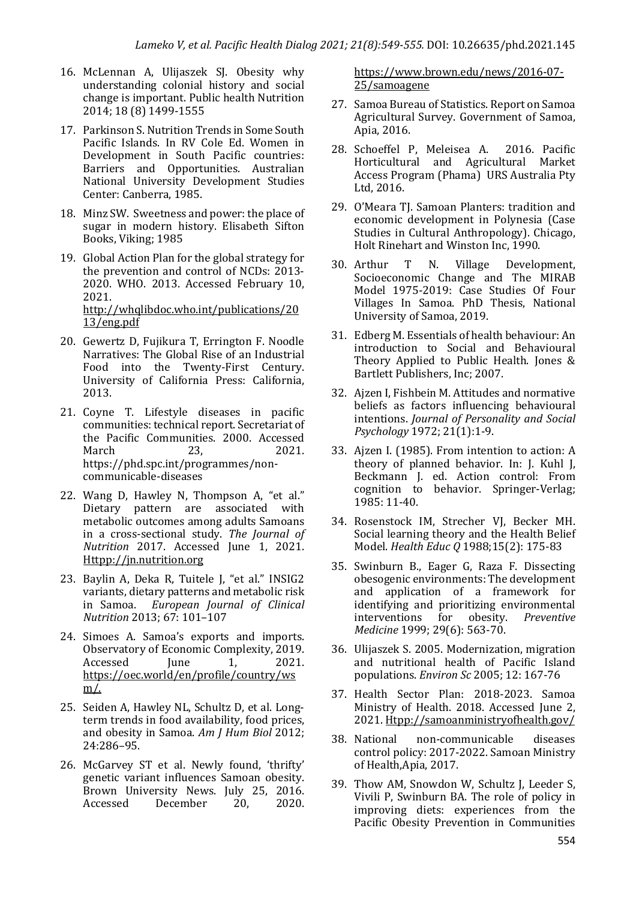- 16. McLennan A, Ulijaszek SJ. Obesity why understanding colonial history and social change is important. Public health Nutrition 2014; 18 (8) 1499-1555
- 17. Parkinson S. Nutrition Trends in Some South Pacific Islands. In RV Cole Ed. Women in Development in South Pacific countries: Barriers and Opportunities. Australian National University Development Studies Center: Canberra, 1985.
- 18. Minz SW. Sweetness and power: the place of sugar in modern history. Elisabeth Sifton Books, Viking; 1985
- 19. Global Action Plan for the global strategy for the prevention and control of NCDs: 2013-2020. WHO. 2013. Accessed February 10, 2021. http://whqlibdoc.who.int/publications/20 13/eng.pdf
- 20. Gewertz D, Fujikura T, Errington F. Noodle Narratives: The Global Rise of an Industrial Food into the Twenty-First Century. University of California Press: California, 2013.
- 21. Coyne T. Lifestyle diseases in pacific communities: technical report. Secretariat of the Pacific Communities. 2000. Accessed March 23, 2021. https://phd.spc.int/programmes/noncommunicable-diseases
- 22. Wang D, Hawley N, Thompson A, "et al." Dietary pattern are associated with metabolic outcomes among adults Samoans in a cross-sectional study. The Journal of *Nutrition*  2017. Accessed June 1, 2021. Httpp://jn.nutrition.org
- 23. Baylin A, Deka R, Tuitele J, "et al." INSIG2 variants, dietary patterns and metabolic risk in Samoa. European Journal of Clinical *Nutrition* 2013; 67: 101-107
- 24. Simoes A. Samoa's exports and imports. Observatory of Economic Complexity, 2019. Accessed Iune 1, 2021. https://oec.world/en/profile/country/ws m/.
- 25. Seiden A, Hawley NL, Schultz D, et al. Longterm trends in food availability, food prices, and obesity in Samoa. Am *J Hum Biol* 2012; 24:286–95.
- 26. McGarvey ST et al. Newly found, 'thrifty' genetic variant influences Samoan obesity. Brown University News. July 25, 2016. Accessed December 20, 2020.

https://www.brown.edu/news/2016-07- 25/samoagene

- 27. Samoa Bureau of Statistics. Report on Samoa Agricultural Survey. Government of Samoa, Apia, 2016.
- 28. Schoeffel P, Meleisea A. 2016. Pacific Horticultural and Agricultural Market Access Program (Phama) URS Australia Pty Ltd, 2016.
- 29. O'Meara TI. Samoan Planters: tradition and economic development in Polynesia (Case Studies in Cultural Anthropology). Chicago, Holt Rinehart and Winston Inc, 1990.
- 30. Arthur T N. Village Development, Socioeconomic Change and The MIRAB Model 1975-2019: Case Studies Of Four Villages In Samoa, PhD Thesis, National University of Samoa, 2019.
- 31. Edberg M. Essentials of health behaviour: An introduction to Social and Behavioural Theory Applied to Public Health. Jones & Bartlett Publishers, Inc; 2007.
- 32. Aizen I, Fishbein M. Attitudes and normative beliefs as factors influencing behavioural intentions. *Journal of Personality and Social Psychology* 1972; 21(1):1-9.
- 33. Ajzen I. (1985). From intention to action: A theory of planned behavior. In: J. Kuhl J. Beckmann J. ed. Action control: From cognition to behavior. Springer-Verlag; 1985: 11-40.
- 34. Rosenstock IM, Strecher VI, Becker MH. Social learning theory and the Health Belief Model. *Health Educ Q* 1988;15(2): 175-83
- 35. Swinburn B., Eager G, Raza F. Dissecting obesogenic environments: The development and application of a framework for identifying and prioritizing environmental interventions for obesity. *Preventive Medicine* 1999: 29(6): 563-70.
- 36. Ulijaszek S. 2005. Modernization, migration and nutritional health of Pacific Island populations. *Environ Sc* 2005; 12: 167-76
- 37. Health Sector Plan: 2018-2023. Samoa Ministry of Health. 2018. Accessed June 2, 2021. Htpp://samoanministryofhealth.gov/
- 38. National non-communicable diseases control policy: 2017-2022. Samoan Ministry of Health, Apia, 2017.
- 39. Thow AM, Snowdon W, Schultz J, Leeder S, Vivili P, Swinburn BA. The role of policy in improving diets: experiences from the Pacific Obesity Prevention in Communities